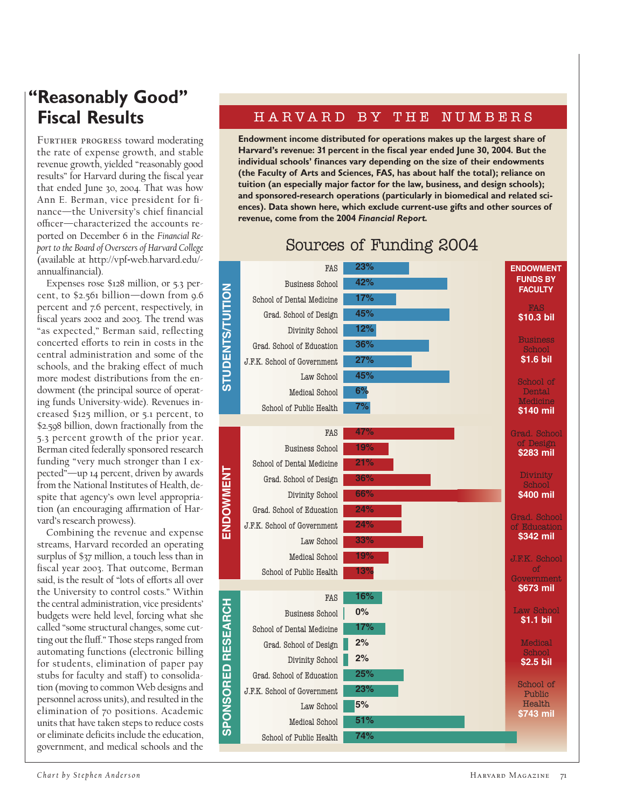## **"Reasonably Good" Fiscal Results**

FURTHER PROGRESS toward moderating the rate of expense growth, and stable revenue growth, yielded "reasonably good results" for Harvard during the fiscal year that ended June 30, 2004. That was how Ann E. Berman, vice president for finance—the University's chief financial officer—characterized the accounts reported on December 6 in the *Financial Report to the Board of Overseers of Harvard College* (available at http://vpf-web.harvard.edu/ annualfinancial).

Expenses rose \$128 million, or 5.3 percent, to \$2.561 billion—down from 9.6 percent and 7.6 percent, respectively, in fiscal years 2002 and 2003. The trend was "as expected," Berman said, reflecting concerted efforts to rein in costs in the central administration and some of the schools, and the braking effect of much more modest distributions from the endowment (the principal source of operating funds University-wide). Revenues increased \$125 million, or 5.1 percent, to \$2.598 billion, down fractionally from the 5.3 percent growth of the prior year. Berman cited federally sponsored research funding "very much stronger than I expected"—up 14 percent, driven by awards from the National Institutes of Health, despite that agency's own level appropriation (an encouraging affirmation of Harvard's research prowess).

Combining the revenue and expense streams, Harvard recorded an operating surplus of \$37 million, a touch less than in fiscal year 2003. That outcome, Berman said, is the result of "lots of efforts all over the University to control costs." Within the central administration, vice presidents' budgets were held level, forcing what she called "some structural changes, some cutting out the fluff." Those steps ranged from automating functions (electronic billing for students, elimination of paper pay stubs for faculty and staff) to consolidation (moving to common Web designs and personnel across units), and resulted in the elimination of 70 positions. Academic units that have taken steps to reduce costs or eliminate deficits include the education, government, and medical schools and the

## HARVARD BY THE NUMBERS

**Endowment income distributed for operations makes up the largest share of Harvard's revenue: 31 percent in the fiscal year ended June 30, 2004. But the individual schools' finances vary depending on the size of their endowments (the Faculty of Arts and Sciences, FAS, has about half the total); reliance on tuition (an especially major factor for the law, business, and design schools); and sponsored-research operations (particularly in biomedical and related sciences). Data shown here, which exclude current-use gifts and other sources of revenue, come from the 2004** *Financial Report.*



## Sources of Funding 2004